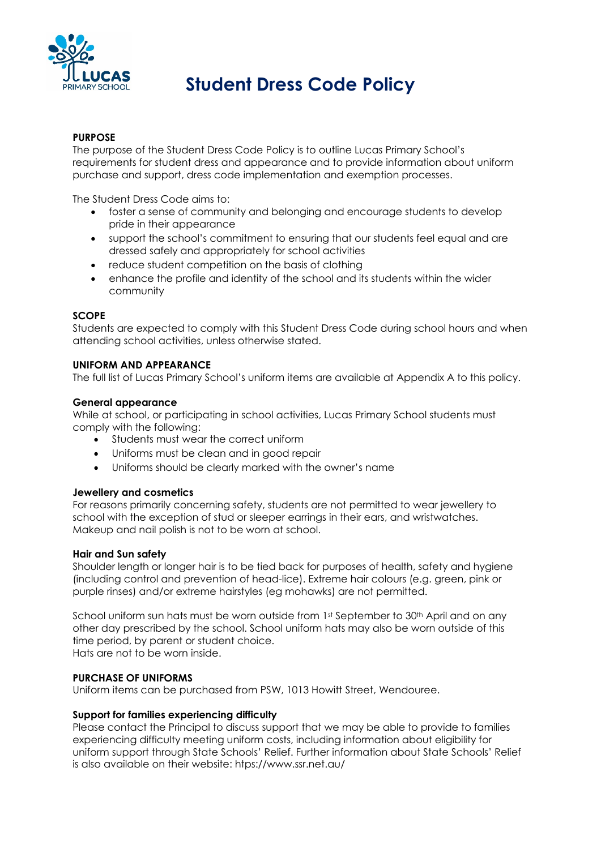

# **Student Dress Code Policy**

# **PURPOSE**

The purpose of the Student Dress Code Policy is to outline Lucas Primary School's requirements for student dress and appearance and to provide information about uniform purchase and support, dress code implementation and exemption processes.

The Student Dress Code aims to:

- foster a sense of community and belonging and encourage students to develop pride in their appearance
- support the school's commitment to ensuring that our students feel equal and are dressed safely and appropriately for school activities
- reduce student competition on the basis of clothing
- enhance the profile and identity of the school and its students within the wider community

# **SCOPE**

Students are expected to comply with this Student Dress Code during school hours and when attending school activities, unless otherwise stated.

### **UNIFORM AND APPEARANCE**

The full list of Lucas Primary School's uniform items are available at Appendix A to this policy.

### **General appearance**

While at school, or participating in school activities, Lucas Primary School students must comply with the following:

- Students must wear the correct uniform
- Uniforms must be clean and in good repair
- Uniforms should be clearly marked with the owner's name

### **Jewellery and cosmetics**

For reasons primarily concerning safety, students are not permitted to wear jewellery to school with the exception of stud or sleeper earrings in their ears, and wristwatches. Makeup and nail polish is not to be worn at school.

### **Hair and Sun safety**

Shoulder length or longer hair is to be tied back for purposes of health, safety and hygiene (including control and prevention of head-lice). Extreme hair colours (e.g. green, pink or purple rinses) and/or extreme hairstyles (eg mohawks) are not permitted.

School uniform sun hats must be worn outside from 1st September to 30th April and on any other day prescribed by the school. School uniform hats may also be worn outside of this time period, by parent or student choice. Hats are not to be worn inside.

### **PURCHASE OF UNIFORMS**

Uniform items can be purchased from PSW, 1013 Howitt Street, Wendouree.

### **Support for families experiencing difficulty**

Please contact the Principal to discuss support that we may be able to provide to families experiencing difficulty meeting uniform costs, including information about eligibility for uniform support through State Schools' Relief. Further information about State Schools' Relief is also available on their website: htps://www.ssr.net.au/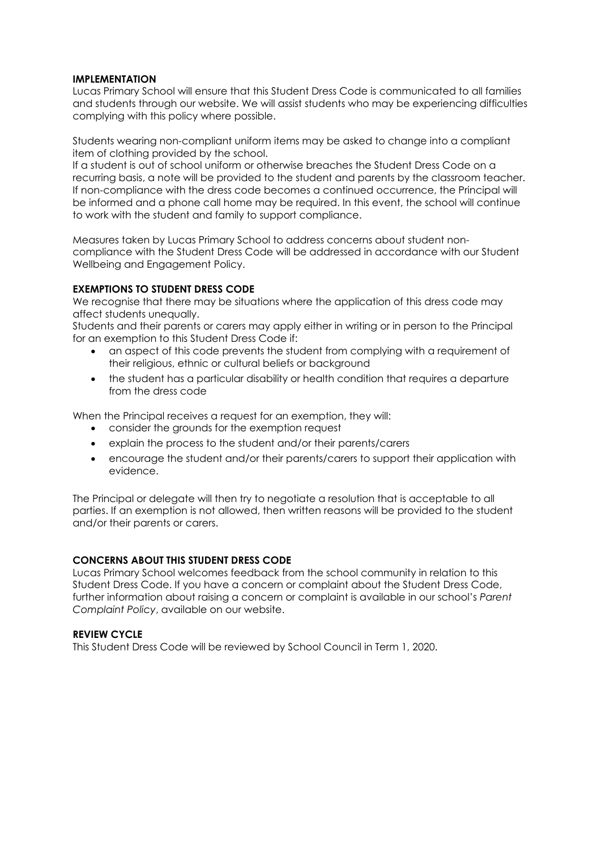### **IMPLEMENTATION**

Lucas Primary School will ensure that this Student Dress Code is communicated to all families and students through our website. We will assist students who may be experiencing difficulties complying with this policy where possible.

Students wearing non-compliant uniform items may be asked to change into a compliant item of clothing provided by the school.

If a student is out of school uniform or otherwise breaches the Student Dress Code on a recurring basis, a note will be provided to the student and parents by the classroom teacher. If non-compliance with the dress code becomes a continued occurrence, the Principal will be informed and a phone call home may be required. In this event, the school will continue to work with the student and family to support compliance.

Measures taken by Lucas Primary School to address concerns about student noncompliance with the Student Dress Code will be addressed in accordance with our Student Wellbeing and Engagement Policy.

### **EXEMPTIONS TO STUDENT DRESS CODE**

We recognise that there may be situations where the application of this dress code may affect students unequally.

Students and their parents or carers may apply either in writing or in person to the Principal for an exemption to this Student Dress Code if:

- an aspect of this code prevents the student from complying with a requirement of their religious, ethnic or cultural beliefs or background
- the student has a particular disability or health condition that requires a departure from the dress code

When the Principal receives a request for an exemption, they will:

- consider the grounds for the exemption request
- explain the process to the student and/or their parents/carers
- encourage the student and/or their parents/carers to support their application with evidence.

The Principal or delegate will then try to negotiate a resolution that is acceptable to all parties. If an exemption is not allowed, then written reasons will be provided to the student and/or their parents or carers.

### **CONCERNS ABOUT THIS STUDENT DRESS CODE**

Lucas Primary School welcomes feedback from the school community in relation to this Student Dress Code. If you have a concern or complaint about the Student Dress Code, further information about raising a concern or complaint is available in our school's *Parent Complaint Policy*, available on our website.

### **REVIEW CYCLE**

This Student Dress Code will be reviewed by School Council in Term 1, 2020.